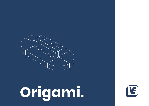

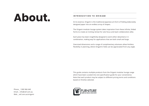## **About.**

Phone \_ 1300 966 640 Email \_ info@vef.com.au Web vef.com.au/origami

### **INTRODUCTION TO ORIGAMI**

At its essence, Origami is the traditional Japanese art-form of folding elaborately designed paper into an endless array of shapes.

The Origami modular lounge system takes inspiration from these infinite, folded forms to create an inviting retreat for solo focus and team collaboration alike.

Each piece has been insightfully designed to work either detached or in combination, making way for applications that are both small and large.

Oversized dimensions and a range of complimentary ottomans allow limitless flexibility in planning, where Origami's folds can be appreciated from any angle.

This guide contains multiple products from the Origami modular lounge range which have been curated into one specification guide for your convenience. Note that each product may be subject to different pricing terms and conditions based on finishes selected.

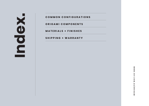### **COMMON CONFIGURATIONS**

**ORIGAMI COMPONENTS**

**MATERIALS + FINISHES**

**SHIPPING + WARRANTY**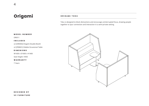### **ORIGAMI TOKU**

Toku is designed to block distractions and encourage uninterrupted focus, drawing people together to spur connection and interaction in a semi-private setting.

### **MODEL NUMBER**

ORI011

### **INCLUDES**

x2 [ORI004] Origami Double Booth

x2 [PEB001] Pebble Occasional Table

#### **DIMENIONS**

W1600 x D1600 x H1400

Seat Height: H450

### **WARRANTY**

7 Years



**D E S I G N E D B Y VE FURNITURE**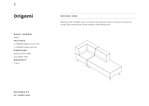### **ORIGAMI SUMI**

Meaning 'nook' in English, Sumi is an oasis in the open plan space. Use Sumi as an informal lounge, open meeting area, library lounge or lobby waiting area.

### **MODEL NUMBER**

ORI012

### **INCLUDES**

x1 [ORI004] Origami Corner Sofa

x1 [ORI008] Origami Left Sofa

#### **DIMENIONS**

W2250 x D750 x H800

Seat Height: H450

### **WARRANTY**

7 Years



### **D E S I G N E D B Y**

**VE FURNITURE**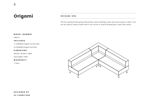### **ORIGAMI ORU**

The Oru setting invites group interactivity, casual meetings, team work and a place to take 5. Oru can be used to create a small nook in the corner or central landing pad in open floor plans.

### **MODEL NUMBER**

ORI013

### **INCLUDES**

x1 [ORI004] Origami Corner Sofa

x2 [ORI008] Origami Full Sofa

#### **DIMENIONS**

W2250 x D2250 x H800

Seat Height: H450

### **WARRANTY**

7 Years



### **D E S I G N E D B Y**

**VE FURNITURE**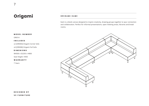### **ORIGAMI KAMI**

Kami is a blank canvas designed to inspire creativity, drawing groups together to spur connection and collaboration. Perfect for informal presentations, open meeting areas, libraries and break rooms.



ORI014

### **INCLUDES**

x2 [ORI004] Origami Corner Sofa

x4 [ORI008] Origami Full Sofa

#### **DIMENIONS**

W4500 x D2250 x H800

Seat Height: H450

### **WARRANTY**

7 Years

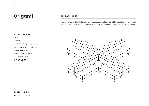### **ORIGAMI SURU**

Meaning 'to do' in English, Suru invites you to gather and tackle the big issues in small groups. In open floor plans, Suru can be used to create four small meeting spaces or team breakout zones.

#### **MODEL NUMBER**

ORI015

### **INCLUDES**

x4 [ORI004] Origami Corner Sofa

x8 [ORI008] Origami Full Sofa

#### **DIMENIONS**

W4500 x D4500 x H800

Seat Height: H450

### **WARRANTY**

7 Years



### **D E S I G N E D B Y VE FURNITURE**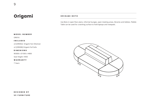### **ORIGAMI BOTO**

Use Boto in open floor plans, informal lounges, open meeting areas, libraries and lobbies. Pebble Table can be used for a working surface to hold laptops and notepads.

### **MODEL NUMBER**

ORI016

### **INCLUDES**

x4 [ORI002] Origami Fan Ottoman

x2 [ORI008] Origami Full Sofa

#### **DIMENIONS**

W3000 x D1500 x H800

Seat Height: H450

### **WARRANTY**

7 Years



### **D E S I G N E D B Y**

**VE FURNITURE**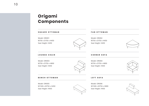### **Origami Components**

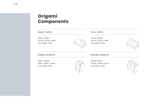### **Origami Components**

### **RIGHT SOFA** Model: ORI007 W1500 x W750 x H800 Seat Height: H450 **FULL SOFA** Model: ORI008 W1500 x W750 x H800 Seat Height: H450 **DOUBLE BOOTH** Model: ORI010 W1600 x D800 x H1400 Seat Height: H450

### **SINGLE BOOTH**

Model: ORI009 W850 x D800 x H1400 Seat Height: H450



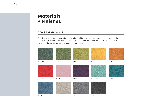### **Materials + Finishes**

### **ATLAS FABRIC RANGE**

Atlas is a versatile, durable and affordable textile, ideal for heavy duty upholstery where day-to-day life doesn't have to compromise style and comfort. This collection has been hand selected to work in any classroom, library, shared learning space or faculty space.

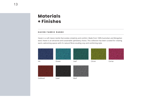### **+ Finishes**

#### **HAVEN FABRIC RANGE**

Haven is a soft classic textile that evokes simplicity and comfort. Made from 100% Australian and Mongolian wool, Haven is an attractive and sustainable upholstery choice. This collection has been curated for creating warm, welcoming spaces with it's natural fibres exuding cosy and comforting style.

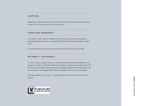#### **SHIPPING**

Shipping is calculated at the time of order. White Glove delivery and installation is extra. For more information, visit vef.com.au

#### **FURNITURE WARRANTY**

To initiate a claim, contact a helpful VE Furniture Account Representative by emailing info@vef.com.au or calling 1300 96 66 40, Monday-Friday 9am to 5pm AEST.

For complete warranty information please visit info.vef.com.au/warranty

#### **RETURNS + EXCHANGES**

To raise a return, please contact an Account Representative at info@vef.com.au or give us a ring on 1300 96 66 40 within 30 days of receiving your goods from VE Furniture. Our Account Representatives will happily determine if the product can be returned or exchanged. White Glove Installation fees are non-refundable.

For more details on our Terms + Conditions, please visit vef.com.au/terms-ofservice